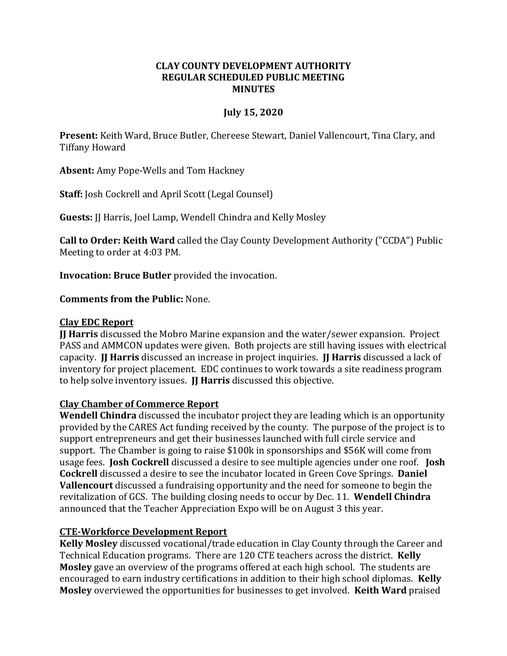#### **CLAY COUNTY DEVELOPMENT AUTHORITY REGULAR SCHEDULED PUBLIC MEETING MINUTES**

### **July 15, 2020**

**Present:** Keith Ward, Bruce Butler, Chereese Stewart, Daniel Vallencourt, Tina Clary, and Tiffany Howard

**Absent:** Amy Pope-Wells and Tom Hackney

**Staff:** Josh Cockrell and April Scott (Legal Counsel)

**Guests:** JJ Harris, Joel Lamp, Wendell Chindra and Kelly Mosley

**Call to Order: Keith Ward** called the Clay County Development Authority ("CCDA") Public Meeting to order at 4:03 PM.

**Invocation: Bruce Butler** provided the invocation.

**Comments from the Public:** None.

### **Clay EDC Report**

**JJ Harris** discussed the Mobro Marine expansion and the water/sewer expansion. Project PASS and AMMCON updates were given. Both projects are still having issues with electrical capacity. **JJ Harris** discussed an increase in project inquiries. **JJ Harris** discussed a lack of inventory for project placement. EDC continues to work towards a site readiness program to help solve inventory issues. **JJ Harris** discussed this objective.

### **Clay Chamber of Commerce Report**

**Wendell Chindra** discussed the incubator project they are leading which is an opportunity provided by the CARES Act funding received by the county. The purpose of the project is to support entrepreneurs and get their businesses launched with full circle service and support. The Chamber is going to raise \$100k in sponsorships and \$56K will come from usage fees. **Josh Cockrell** discussed a desire to see multiple agencies under one roof. **Josh Cockrell** discussed a desire to see the incubator located in Green Cove Springs. **Daniel Vallencourt** discussed a fundraising opportunity and the need for someone to begin the revitalization of GCS. The building closing needs to occur by Dec. 11. **Wendell Chindra**  announced that the Teacher Appreciation Expo will be on August 3 this year.

# **CTE-Workforce Development Report**

**Kelly Mosley** discussed vocational/trade education in Clay County through the Career and Technical Education programs. There are 120 CTE teachers across the district. **Kelly Mosley** gave an overview of the programs offered at each high school. The students are encouraged to earn industry certifications in addition to their high school diplomas. **Kelly Mosley** overviewed the opportunities for businesses to get involved. **Keith Ward** praised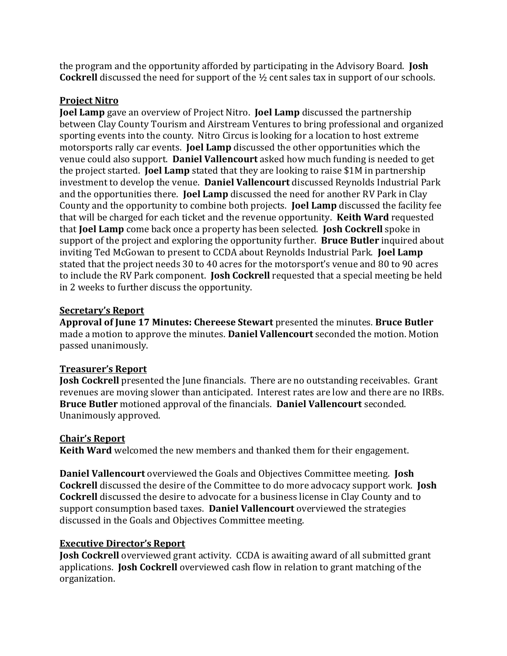the program and the opportunity afforded by participating in the Advisory Board. **Josh Cockrell** discussed the need for support of the ½ cent sales tax in support of our schools.

## **Project Nitro**

**Joel Lamp** gave an overview of Project Nitro. **Joel Lamp** discussed the partnership between Clay County Tourism and Airstream Ventures to bring professional and organized sporting events into the county. Nitro Circus is looking for a location to host extreme motorsports rally car events. **Joel Lamp** discussed the other opportunities which the venue could also support. **Daniel Vallencourt** asked how much funding is needed to get the project started. **Joel Lamp** stated that they are looking to raise \$1M in partnership investment to develop the venue. **Daniel Vallencourt** discussed Reynolds Industrial Park and the opportunities there. **Joel Lamp** discussed the need for another RV Park in Clay County and the opportunity to combine both projects. **Joel Lamp** discussed the facility fee that will be charged for each ticket and the revenue opportunity. **Keith Ward** requested that **Joel Lamp** come back once a property has been selected. **Josh Cockrell** spoke in support of the project and exploring the opportunity further. **Bruce Butler** inquired about inviting Ted McGowan to present to CCDA about Reynolds Industrial Park. **Joel Lamp**  stated that the project needs 30 to 40 acres for the motorsport's venue and 80 to 90 acres to include the RV Park component. **Josh Cockrell** requested that a special meeting be held in 2 weeks to further discuss the opportunity.

## **Secretary's Report**

**Approval of June 17 Minutes: Chereese Stewart** presented the minutes. **Bruce Butler** made a motion to approve the minutes. **Daniel Vallencourt** seconded the motion. Motion passed unanimously.

# **Treasurer's Report**

**Josh Cockrell** presented the June financials. There are no outstanding receivables. Grant revenues are moving slower than anticipated. Interest rates are low and there are no IRBs. **Bruce Butler** motioned approval of the financials. **Daniel Vallencourt** seconded. Unanimously approved.

# **Chair's Report**

**Keith Ward** welcomed the new members and thanked them for their engagement.

**Daniel Vallencourt** overviewed the Goals and Objectives Committee meeting. **Josh Cockrell** discussed the desire of the Committee to do more advocacy support work. **Josh Cockrell** discussed the desire to advocate for a business license in Clay County and to support consumption based taxes. **Daniel Vallencourt** overviewed the strategies discussed in the Goals and Objectives Committee meeting.

### **Executive Director's Report**

**Josh Cockrell** overviewed grant activity. CCDA is awaiting award of all submitted grant applications. **Josh Cockrell** overviewed cash flow in relation to grant matching of the organization.